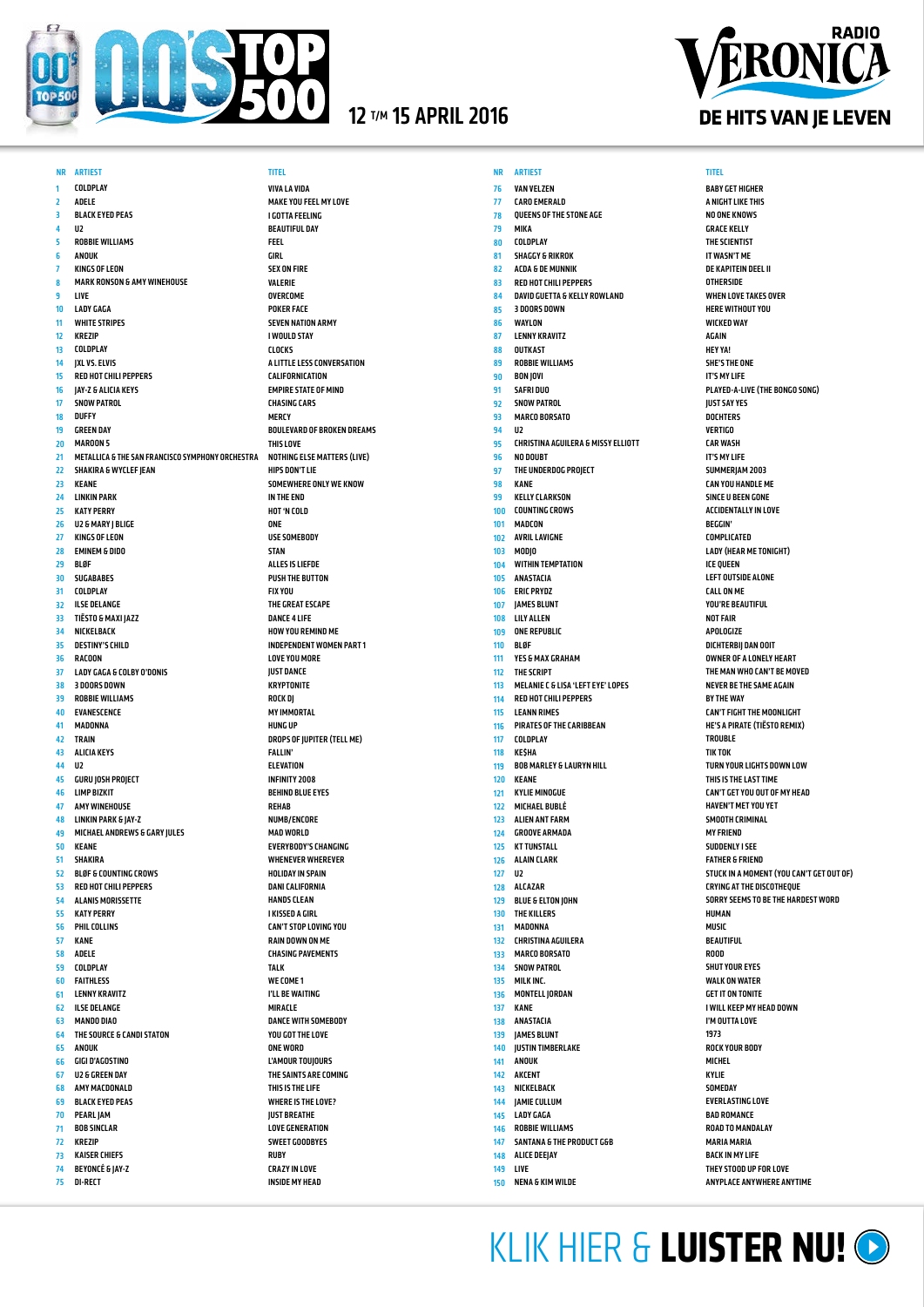



1  $\overline{2}$ 3 4 5 6 7 8 9 10 11  $12<sup>12</sup>$ 13 14 15 16 17 18 19 20 21 22 23  $\overline{24}$ 25 26 27  $28$  $29$ 30 31 32 33 34 35 36 37 38 39 40 41  $42$ 43 44 45 46 47 48 49 50 51 52 53 54 55 56 57 58 59 60 61 62 63 64 65 66 67 68 69 70 71 72 73 74 COLDPLAY ADELE BLACK EYED PEAS  $\overline{112}$ ROBBIE WILLIAMS **ANOUK** KINGS OF LEON MARK RONSON & AMY WINEHOUSE LIVE LADY GAGA WHITE STRIPES KREZIP COLDPLAY JXL VS. ELVIS RED HOT CHILI PEPPERS JAY-Z & ALICIA KEYS SNOW PATROL **DUFFY** GREEN DAY MAROON 5 METALLICA & THE SAN FRANCISCO SYMPHONY ORCHESTRA SHAKIRA & WYCLEF JEAN KEANE LINKIN PARK KATY PERRY U2 & MARY J BLIGE KINGS OF LEON EMINEM & DIDO BLØF SUGABABES COLDPLAY ILSE DELANGE TIËSTO & MAXI JAZZ NICKELBACK DESTINY'S CHILD RACOON LADY GAGA & COLBY O'DONIS 3 DOORS DOWN ROBBIE WILLIAMS **EVANESCENCE** MADONNA **TRAIN** ALICIA KEYS  $U<sub>2</sub>$ GURU JOSH PROJECT LIMP BIZKIT AMY WINEHOUSE LINKIN PARK & JAY-Z MICHAEL ANDREWS & GARY JULES KEANE SHAKIRA BLØF & COUNTING CROWS RED HOT CHILI PEPPERS ALANIS MORISSETTE KATY PERRY PHIL COLLINS KANE ADELE COLDPLAY **FAITHLESS** LENNY KRAVITZ ILSE DELANGE MANDO DIAO THE SOURCE & CANDI STATON **ANOUK** GIGI D'AGOSTINO U2 & GREEN DAY **AMY MACDONALD** BLACK EYED PEAS PEARL JAM BOB SINCLAR KREZIP KAISER CHIEFS BEYONCÉ & JAY-Z NR ARTIEST TITEL NR ARTIEST TITEL

75 DI-RECT

VIVA LA VIDA MAKE YOU FEEL MY LOVE I GOTTA FEELING **BEAUTIFUL DAY** FEEL GIRL SEX ON FIRE VALERIE OVERCOME POKER FACE SEVEN NATION ARMY I WOULD STAY **CLOCKS** A LITTLE LESS CONVERSATION CALIFORNICATION EMPIRE STATE OF MIND CHASING CARS **MERCY** BOULEVARD OF BROKEN DREAMS THIS LOVE NOTHING ELSE MATTERS (LIVE) HIPS DON'T LIE SOMEWHERE ONLY WE KNOW IN THE END HOT 'N COLD ONE USE SOMEBODY **STAN** ALLES IS LIEFDE PUSH THE BUTTON FIX YOU THE GREAT ESCAPE DANCE 4 LIFE HOW YOU REMIND ME INDEPENDENT WOMEN PART 1 LOVE YOU MORE JUST DANCE KRYPTONITE ROCK DJ MY IMMORTAL HUNG UP DROPS OF JUPITER (TELL ME) FALLIN' ELEVATION INFINITY 2008 BEHIND BLUE EYES REHAB NUMB/ENCORE MAD WORLD EVERYBODY'S CHANGING WHENEVER WHEREVER HOLIDAY IN SPAIN DANI CALIFORNIA HANDS CLEAN I KISSED A GIRL CAN'T STOP LOVING YOU RAIN DOWN ON ME CHASING PAVEMENTS TALK WE COME 1 I'LL BE WAITING MIRACLE DANCE WITH SOMEBODY YOU GOT THE LOVE ONE WORD L'AMOUR TOUJOURS THE CAINTS ARE COMING THIS IS THE LIFE WHEDE IS THE LOVE? JUST BREATHE .<br>LOVE GENERATION SWEET GOODBYES RUBY CRAZY IN LOVE INSIDE MY HEAD

76 77 78 79 **80** 81  $82$ 83 84 85 86 **87** 88 89 90 91 92 93 94 **95** 96 97 98 99 100 101 102 103 104 105 106 107 108 109 110 111 112 113 114 115 116 117 118 119 120 121 122 123 124 125 126 127 128 129 130 131 132 133 134 135 136 137 138 139 140 141 142 143 144 145 146 147 148 ALICE DEEJAY 149 LIVE 150 NENA & KIM WILDE VAN VELZEN CARO EMERALD QUEENS OF THE STONE AGE MIKA COLDPLAY SHAGGY & RIKROK ACDA & DE MUNNIK RED HOT CHILI PEPPERS DAVID GUETTA & KELLY ROWLAND 3 DOORS DOWN **WAYLON** LENNY KRAVITZ **OUTKAST** ROBBIE WILLIAMS BON JOVI SAFRI DUO **SNOW PATROL** MARCO BORSATO U2 CHRISTINA AGUILERA & MISSY ELLIOTT NO DOUBT THE UNDERDOG PROJECT KANE KELLY CLARKSON COUNTING CROWS MADCON AVRIL LAVIGNE MODIO WITHIN TEMPTATION ANASTACIA ERIC PRYDZ JAMES BLUNT LILY ALLEN ONE REPUBLIC BLØF YES & MAX GRAHAM THE SCRIPT MELANIE C & LISA 'LEFT EYE' LOPES RED HOT CHILI PEPPERS LEANN RIMES PIRATES OF THE CARIBBEAN COLDPLAY **KECHA** BOB MARLEY & LAURYN HILL KEANE KYLIE MINOGUE MICHAEL BUBLÉ ALIEN ANT FARM GROOVE ARMADA KT TUNSTALL ALAIN CLARK  $\overline{112}$ **ALCAZAR** BLUE & ELTON JOHN THE KILLERS **MADONNA** CHRISTINA AGUILERA MARCO BORSATO SNOW PATROL MILK INC. MONTELL JORDAN KANE ANASTACIA JAMES BLUNT JUSTIN TIMBERLAKE **ANOUK AKCENT** NICKELBACK JAMIE CULLUM LADY GAGA ROBBIE WILLIAMS SANTANA & THE PRODUCT G&B

BABY GET HIGHER A NIGHT LIKE THIS NO ONE KNOWS GRACE KELLY THE SCIENTIST IT WASN'T ME DE KAPITEIN DEEL II **OTHERSIDE** WHEN LOVE TAKES OVER HERE WITHOUT YOU WICKED WAY AGAIN HEY YA! SHE'S THE ONE IT'S MY LIFE PLAYED-A-LIVE (THE BONGO SONG) JUST SAY YES **DOCHTERS VERTIGO** CAR WASH IT'S MY LIFE SUMMERJAM 2003 CAN YOU HANDLE ME SINCE U BEEN GONE ACCIDENTALLY IN LOVE BEGGIN' COMPLICATED LADY (HEAR ME TONIGHT) ICE QUEEN LEFT OUTSIDE ALONE CALL ON ME **VOU'DE BEAUTIEUL** NOT FAIR APOLOGIZE DICHTERBIJ DAN OOIT OWNER OF A LONELY HEART THE MAN WHO CAN'T BE MOVED NEVER BE THE SAME AGAIN BY THE WAY CAN'T FIGHT THE MOONLIGHT HE'S A PIRATE (TIËSTO REMIX) TROUBLE TIK TOK TURN YOUR LIGHTS DOWN LOW THIS IS THE LAST TIME CAN'T GET YOU OUT OF MY HEAD HAVEN'T MET YOU YET SMOOTH CRIMINAL MY FRIEND SUDDENLY I SEE FATHER & FRIEND STUCK IN A MOMENT (YOU CAN'T GET OUT OF) CRYING AT THE DISCOTHEQUE SORRY SEEMS TO BE THE HARDEST WORD HUMAN MUSIC BEAUTIFUL ROOD SHUT YOUR EYES WAI K ON WATER GET IT ON TONITE I WILL KEEP MY HEAD DOWN I'M OUTTA LOVE 1973 ROCK YOUR BODY **MICHEL** KYLIE **SOMEDAY** EVEDLASTING LOVE BAD ROMANCE ROAD TO MANDALAY MARIA MARIA BACK IN MY LIFE THEY STOOD UP FOR LOVE

KLIK HIER & **[LUISTER NU!](http://www.radioveronica.nl/player/radio-veronica)**

ANYPLACE ANYWHERE ANYTIME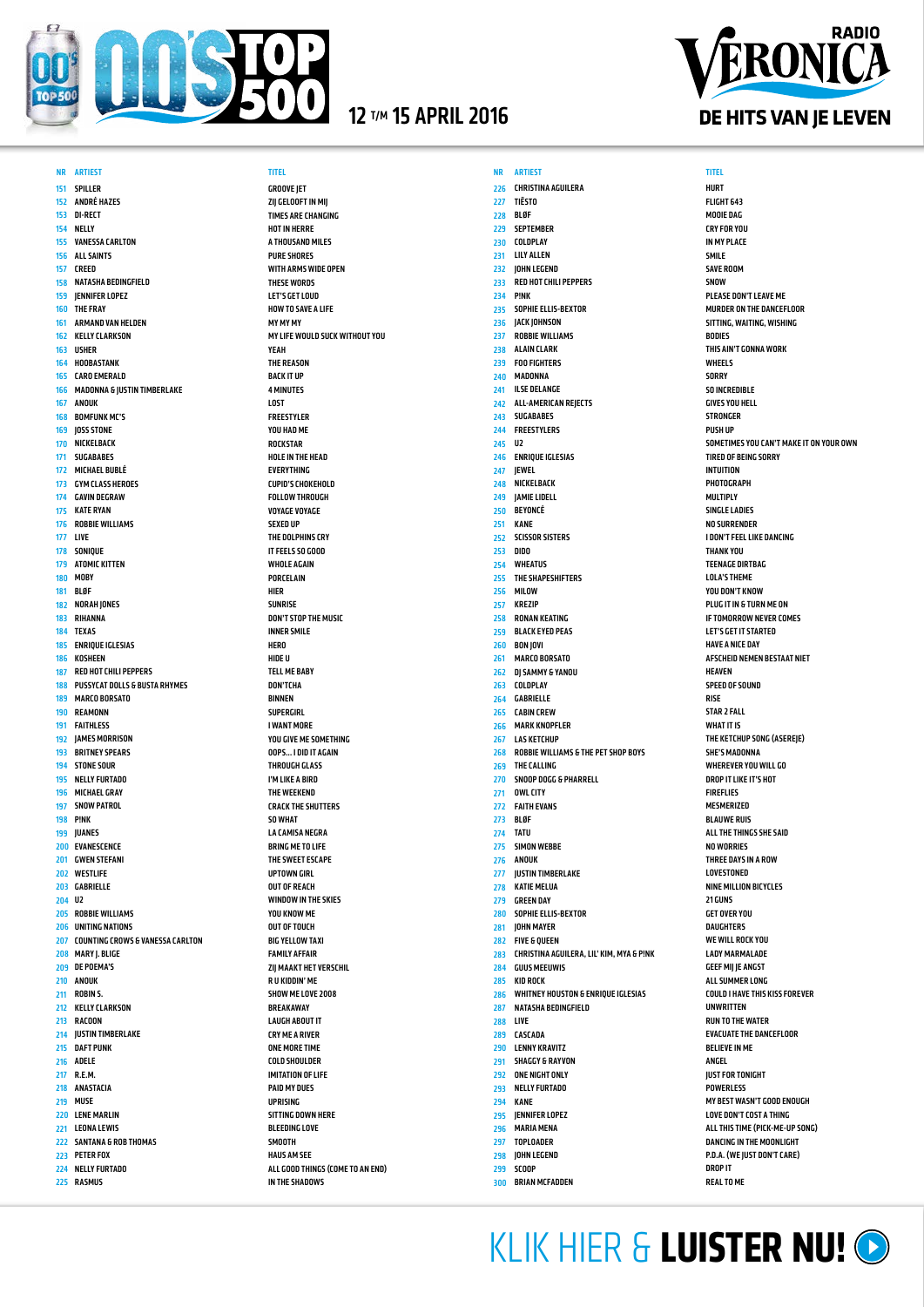



151 SPILLER ANDRÉ HAZES 153 DI-RECT 154 NELLY VANESSA CARLTON ALL SAINTS 157 CREED NATASHA BEDINGFIELD JENNIFER LOPEZ 160 THE FRAY 161 KELLY CLARKSON 163 USHER HOOBASTANK CARO EMERALD MADONNA & JUSTIN TIMBERLAKE 167 ANOUK BOMFUNK MC'S JOSS STONE NICKELBACK SUGABABES MICHAEL BUBLÉ GYM CLASS HEROES 174 KATE RYAN ROBBIE WILLIAMS 177 LIVE 178 SONIQUE ATOMIC KITTEN 180 MOBY 181 BLØF NORAH JONES 183 RIHANNA 184 TEXAS ENRIQUE IGLESIAS 186 KOSHEEN RED HOT CHILI PEPPERS PUSSYCAT DOLLS & BUSTA RHYMES MARCO BORSATO 190 REAMONN FAITHLESS JAMES MORRISON BRITNEY SPEARS STONE SOUR NELLY FURTADO MICHAEL GRAY SNOW PATROL 198 P!NK 199 JUANES EVANESCENCE GWEN STEFANI 202 WESTLIFE GABRIELLE 204 U2 ROBBIE WILLIAMS UNITING NATIONS COUNTING CROWS & VANESSA CARLTON MARY J. BLIGE DE POEMA'S 210 ANOUK 211 ROBIN S. KELLY CLARKSON 213 RACOON JUSTIN TIMBERLAKE DAFT PUNK 216 ADELE 217 R.E.M. ANASTACIA 219 MUSE LENE MARLIN LEONA LEWIS SANTANA & ROB THOMAS PETER FOX NELLY FURTADO 225 RASMUS ARMAND VAN HELDEN GAVIN DEGRAW

GROOVE JET ZIJ GELOOFT IN MIJ TIMES ARE CHANGING HOT IN HERRE A THOUSAND MILES PURE SHORES WITH ARMS WIDE OPEN THESE WORDS LET'S GET LOUD HOW TO SAVE A LIFE MY MY MY MY LIFE WOULD SUCK WITHOUT YOU YEAH THE REASON **BACK IT UP** 4 MINUTES LOST FREESTYLER YOU HAD ME **ROCKSTAR** HOLE IN THE HEAD EVERYTHING CUPID'S CHOKEHOLD FOLLOW THROUGH VOYAGE VOYAGE SEXED UP THE DOLPHINS CRY IT FEELS SO GOOD WHOLE AGAIN PORCELAIN HIER SUNRISE DON'T STOP THE MUSIC INNER SMILE **HERO** HIDE U TELL ME BABY DON'TCHA BINNEN SUPERGIRL I WANT MORE YOU GIVE ME SOMETHING OOPS... I DID IT AGAIN THROUGH GLASS I'M LIKE A BIRD THE WEEKEND CRACK THE SHUTTERS SO WHAT LA CAMISA NEGRA BRING ME TO LIFE THE SWEET ESCAPE UPTOWN GIRL OUT OF REACH WINDOW IN THE SKIES YOU KNOW ME OUT OF TOUCH BIG YELLOW TAXI FAMILY AFFAIR ZIJ MAAKT HET VERSCHIL R U KIDDIN' ME SHOW ME LOVE 2008 BREAKAWAY LAUGH ABOUT IT CRY ME A RIVER ONE MORE TIME COLD SHOULDER IMITATION OF LIFE PAID MY DUES UPRISING SITTING DOWN HERE BLEEDING LOVE **SMOOTH** HAUS AM SEE ALL GOOD THINGS (COME TO AN END) IN THE SHADOWS

226 CHRISTINA AGUILERA 227 228 229 230 231 LILY ALLEN  $222$ 233  $234$ 235 236 237 238 239 240 241 242 ALL-AMERICAN REJECTS 243 SUGABABES 244 FREESTYLERS 245 246  $247$ 248 249 250 251 252 SCISSOR SISTERS 253 DIDO 254 255 256 257 KREZIP 258 259 260 261 MARCO BORSATO 262 263 COLDPLAY 264 GABRIELLE 265 CABIN CREW 266 MARK KNOPFLER 267 LAS KETCHUP 268 **269** 270 271 272 FAITH EVANS 273 274 TATU 275 276 277 278 279 280 281 282 283 284 285 KID ROCK 286 287 NATASHA BEDINGFIELD 288 LIVE 289 CASCADA 290 291 292 ONE NIGHT ONLY 293 294 295 296 297 298 JOHN LEGEND 299 SCOOP 300 BRIAN MCFADDEN TIËSTO BLØF SEPTEMBER COLDPLAY JOHN LEGEND RED HOT CHILI PEPPERS P!NK SOPHIE ELLIS-BEXTOR JACK JOHNSON ROBBIE WILLIAMS ALAIN CLARK FOO FIGHTERS MADONNA ILSE DELANGE  $\overline{112}$ ENRIQUE IGLESIAS JEWEL .<br>Nickel Rack JAMIE LIDELL **BEYONCÉ** KANE **WHEATIIS** THE SHADESHIETEDS MILOW RONAN KEATING BLACK EYED PEAS BON JOVI DJ SAMMY & YANOU ROBBIE WILLIAMS & THE PET SHOP BOYS THE CALLING SNOOP DOGG & PHARRELL OWL CITY BLØF SIMON WEBBE ANOUK JUSTIN TIMBERLAKE KATIE MELUA GREEN DAY SOPHIE ELLIS-BEXTOR JOHN MAYER FIVE & QUEEN CHRISTINA AGUILERA, LIL' KIM, MYA & P!NK GUUS MEEUWIS WHITNEY HOUSTON & ENRIQUE IGLESIAS LENNY KRAVITZ SHAGGY & RAYVON NELLY FURTADO **KANE** JENNIFER LOPEZ MARIA MENA TOPLOADER NR ARTIEST TITEL NR ARTIEST TITEL

**HURT** FLIGHT 643 MOOIE DAG CRY FOR YOU IN MY PLACE SMILE SAVE ROOM **SNOW** PLEASE DON'T LEAVE ME MURDER ON THE DANCEFLOOR SITTING, WAITING, WISHING BODIES THIS AIN'T GONNA WORK WHEELS **SORRY** SO INCREDIBLE GIVES YOU HELL **STRONGER** PUSH UP SOMETIMES YOU CAN'T MAKE IT ON YOUR OWN TIRED OF BEING SORRY INTUITION PHOTOGRAPH MULTIPLY SINGLE LADIES NO SURRENDER I DON'T FEEL LIKE DANCING THANK YOU TEENAGE DIRTBAG LOLA'S THEME YOU DON'T KNOW PLUG IT IN & TURN ME ON IF TOMORROW NEVER COMES LET'S GET IT STARTED HAVE A NICE DAY AFSCHEID NEMEN BESTAAT NIET HEAVEN SPEED OF SOUND RISE STAR 2 FALL WHAT IT IS THE KETCHUP SONG (ASEREIE) SHE'S MADONNA WHEREVER YOU WILL GO DROP IT LIKE IT'S HOT FIREFLIES MESMERIZED BLAUWE RUIS ALL THE THINGS SHE SAID NO WORRIES THREE DAYS IN A ROW LOVESTONED NINE MILLION BICYCLES 21 GUNS GET OVER YOU **DAUGHTERS** WE WILL ROCK YOU LADY MARMALADE GEEF MIJ JE ANGST ALL SUMMER LONG COULD I HAVE THIS KISS FOREVER UNWRITTEN RUN TO THE WATER **EVACUATE THE DANCEFLOOR** BELIEVE IN ME ANGEL JUST FOR TONIGHT POWERLESS MY BEST WASN'T GOOD ENOUGH LOVE DON'T COST A THING ALL THIS TIME (PICK-ME-UP SONG) DANCING IN THE MOONLIGHT P.D.A. (WE JUST DON'T CARE) DROP IT REAL TO ME

KLIK HIER & **[LUISTER NU!](http://www.radioveronica.nl/player/radio-veronica)**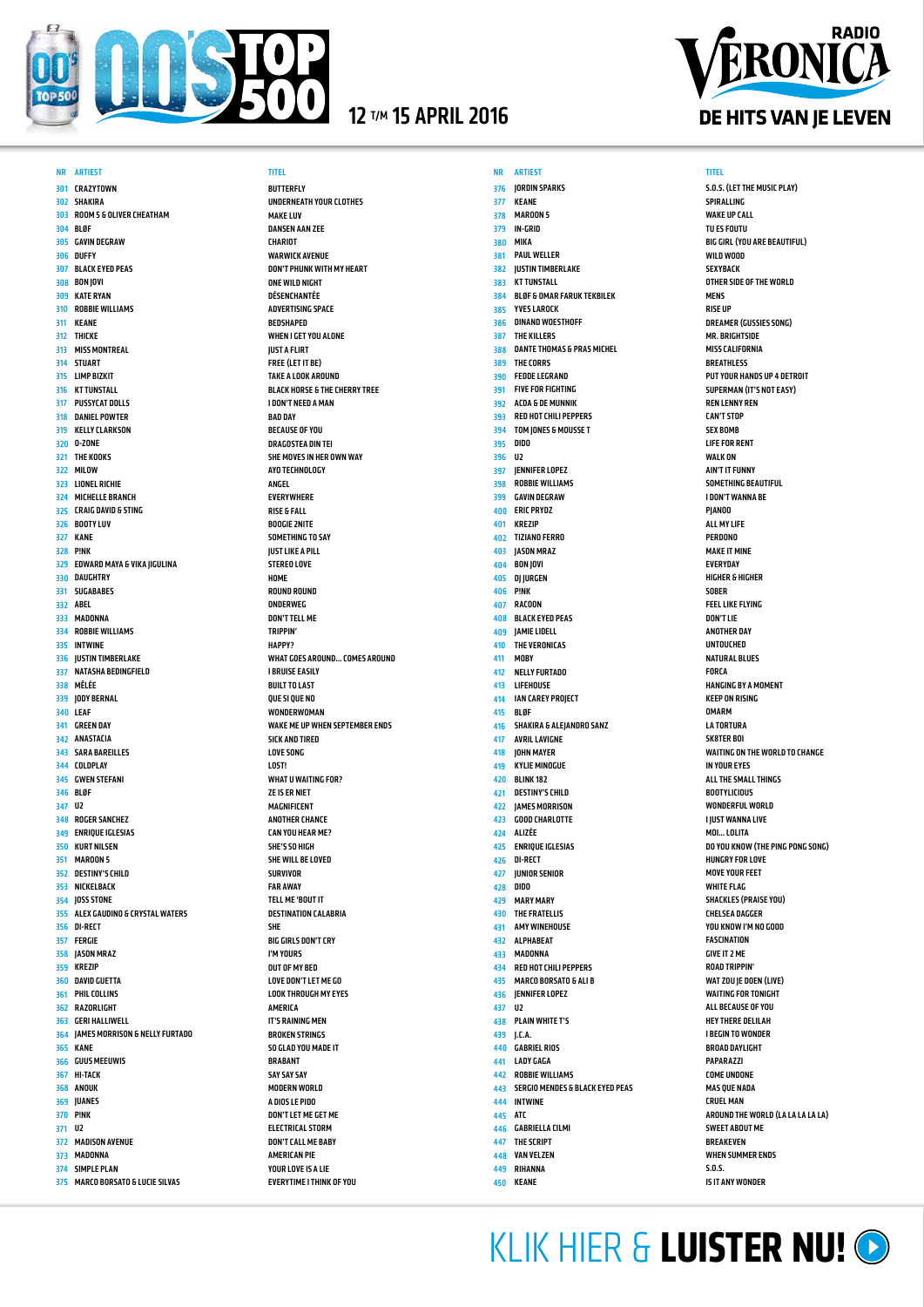

## **RADIO** RON DE HITS VAN JE LEVEN

301 CRAZYTOWN 302 SHAKIRA 303 ROOM 5 & OLIVER CHEATHAM 304 BLØF 305 GAVIN DEGRAW 306 DUFFY 307 BLACK EYED PEAS 308 BON JOVI 309 KATE RYAN 310 ROBBIE WILLIAMS 311 KEANE 312 THICKE 313 MISS MONTREAL 314 STUART 315 LIMP BIZKIT 316 KT TUNSTALL 317 PUSSYCAT DOLLS 318 DANIEL POWTER 319 KELLY CLARKSON 320 O-ZONE 321 THE KOOKS 322 MILOW 323 LIONEL RICHIE 324 MICHELLE BRANCH 325 CRAIG DAVID & STING 326 BOOTY LUV 327 KANE 328 P!NK 329 EDWARD MAYA & VIKA JIGULINA 330 DAUGHTRY 331 SUGABABES 332 ABEL 333 MADONNA 334 ROBBIE WILLIAMS 335 INTWINE 336 JUSTIN TIMBERLAKE 337 NATASHA BEDINGFIELD 338 MÊLÉE 339 JODY BERNAL 340 LEAF 341 GREEN DAY 342 ANASTACIA 343 SARA BAREILLES 344 COLDPLAY 345 GWEN STEFANI 346 BLØF 347 U2 348 ROGER SANCHEZ 349 ENRIQUE IGLESIAS 350 KURT NILSEN 351 MAROON 5 352 DESTINY'S CHILD 353 NICKELBACK 354 JOSS STONE 355 ALEX GAUDINO & CRYSTAL WATERS 356 DI-RECT 357 FERGIE 358 JASON MRAZ 359 KREZIP 360 DAVID GUETTA 361 PHIL COLLINS 362 RAZORLIGHT 363 GERI HALLIWELL 364 JAMES MORRISON & NELLY FURTADO 365 KANE 366 GUUS MEEUWIS 367 HI-TACK 368 ANOUK 369 JUANES 370 P!NK 371 U2 372 MADISON AVENUE 373 MADONNA 374 SIMPLE PLAN 375 MARCO BORSATO & LUCIE SILVAS NR ARTIEST TITEL NR ARTIEST TITEL

BUTTERFLY UNDERNEATH YOUR CLOTHES MAKE LUV DANSEN AAN ZEE **CHARIOT** WARWICK AVENUE DON'T PHUNK WITH MY HEART ONE WILD NIGHT DÉSENCHANTÉE ADVERTISING SPACE **BEDSHAPED** WHEN I GET YOU ALONE JUST A FLIRT FREE (LET IT BE) TAKE A LOOK AROUND BLACK HORSE & THE CHERRY TREE I DON'T NEED A MAN **BAD DAY** BECAUSE OF YOU DRAGOSTEA DIN TEI SHE MOVES IN HER OWN WAY AYO TECHNOLOGY ANGEL EVERYWHERE RISE & FALL BOOGIE 2NITE SOMETHING TO SAY JUST LIKE A PILL STEREO LOVE **HOME** ROUND ROUND ONDERWEG DON'T TELL ME TRIPPIN' HAPPY? WHAT GOES AROUND... COMES AROUND I BRUISE EASILY BUILT TO LAST QUE SI QUE NO **WONDERWOMAN** WAKE ME UP WHEN SEPTEMBER ENDS SICK AND TIRED LOVE SONG LOST! WHAT U WAITING FOR? ZE IS ER NIET MAGNIFICENT ANOTHER CHANCE CAN YOU HEAR ME? SHE'S SO HIGH SHE WILL BE LOVED SURVIVOR FAR AWAY TELL ME 'BOUT IT DESTINATION CALABRIA SHE BIG GIRLS DON'T CRY I'M YOURS OUT OF MY BED LOVE DON'T LET ME GO LOOK THROUGH MY EYES AMERICA IT'S RAINING MEN BROKEN STRINGS SO GLAD YOU MADE IT **BRABANT** SAY SAY SAY MODERN WORLD A DIOS LE PIDO DON'T LET ME GET ME ELECTRICAL STORM DON'T CALL ME BABY AMERICAN PIE YOUR LOVE IS A LIE EVERYTIME I THINK OF YOU

376 JORDIN SPARKS 377 378 379 380 381 382 383 KT TUNSTALL 384 385 386 387 388 389 390 391 392 ACDA & DE MUNNIK 393 RED HOT CHILI PEPPERS 394 TOM JONES & MOUSSE T 395 396 U2 397 398 399 400 ERIC PRYDZ 401 KREZIP 402 TIZIANO FERRO 403 JASON MRAZ 404 405 406 407 RACOON 408 409 JAMIE LIDELL 410 411 412 413 414 415 416 417 418 419 420 421 422 JAMES MORRISON 423 424 ALIZÉE 425 426 DI-RECT 427 JUNIOR SENIOR 428 DIDO 429 MARY MARY 430 431 432 433 434 435 436 437 U2 438 PLAIN WHITE T'S 439 J.C.A. 440 GABRIEL RIOS 441 LADY GAGA 442 ROBBIE WILLIAMS 443 SERGIO MENDES & BLACK EYED PEAS 444 INTWINE 445 ATC 446 GABRIELLA CILMI 447 448 VAN VELZEN 449 RIHANNA 450 KEANE **KEANE** MAROON 5 IN-GRID MIKA PAUL WELLER JUSTIN TIMBERLAKE BLØF & OMAR FARUK TEKBILEK YVES LAROCK DINAND WOESTHOFF THE KILLERS DANTE THOMAS & PRAS MICHEL THE CORRS FEDDE LEGRAND FIVE FOR FIGHTING DIDO JENNIFER LOPEZ ROBBIE WILLIAMS GAVIN DEGRAW BON JOVI DJ JURGEN P!NK BLACK EYED PEAS THE VERONICAS MOBY NELLY FURTADO LIFEHOUSE IAN CAREY PROJECT BLØF SHAKIRA & ALEJANDRO SANZ AVRIL LAVIGNE JOHN MAYER KYLIE MINOGUE BLINK 182 DESTINY'S CHILD GOOD CHARLOTTE ENRIQUE IGLESIAS THE FRATELLIS **AMY WINFHOUSE** ALPHABEAT MADONNA RED HOT CHILI PEPPERS MARCO BORSATO & ALI B JENNIFER LOPEZ THE SCRIPT

S.O.S. (LET THE MUSIC PLAY) SPIRALLING WAKE UP CALL TU ES FOUTU BIG GIRL (YOU ARE BEAUTIFUL) WILD WOOD **SEXVRACK** OTHER SIDE OF THE WORLD **MENS** RISE UP DREAMER (GUSSIES SONG) MR. BRIGHTSIDE MISS CALIFORNIA BREATHLESS PUT YOUR HANDS UP 4 DETROIT SUPERMAN (IT'S NOT EASY) REN LENNY REN CAN'T STOP SEX BOMB LIFE FOR RENT WALK ON AIN'T IT FUNNY SOMETHING BEAUTIFUL I DON'T WANNA BE PJANOO ALL MY LIFE PERDONO MAKE IT MINE *EVERYDAY* HIGHER & HIGHER SOBER FEEL LIKE FLYING DON'T LIE ANOTHER DAY UNTOUCHED NATURAL BLUES FORCA HANGING BY A MOMENT KEEP ON RISING **OMARM** LA TORTURA SK8TER BOI WAITING ON THE WORLD TO CHANGE IN YOUR EYES ALL THE SMALL THINGS **BOOTYLICIOUS** WONDERFUL WORLD I JUST WANNA LIVE MOI... LOLITA DO YOU KNOW (THE PING PONG SONG) HUNGRY FOR LOVE MOVE YOUR FEET WHITE FLAG SHACKLES (PRAISE YOU) CHELSEA DAGGER YOU KNOW I'M NO GOOD FASCINATION GIVE IT 2 ME ROAD TRIPPIN' WAT ZOU JE DOEN (LIVE) WAITING FOR TONIGHT ALL BECAUSE OF YOU HEY THERE DELILAH I BEGIN TO WONDER BROAD DAYLIGHT PAPARAZZI COME UNDONE MAS QUE NADA CRUEL MAN AROUND THE WORLD (LA LA LA LA LA) SWEET ABOUT ME BREAKEVEN WHEN SUMMER ENDS S.O.S. IS IT ANY WONDER